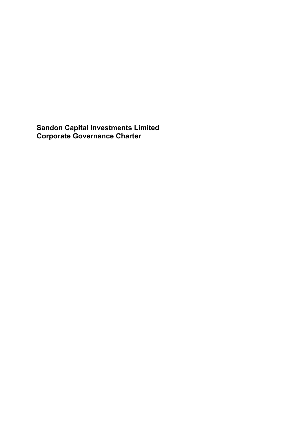**Sandon Capital Investments Limited Corporate Governance Charter**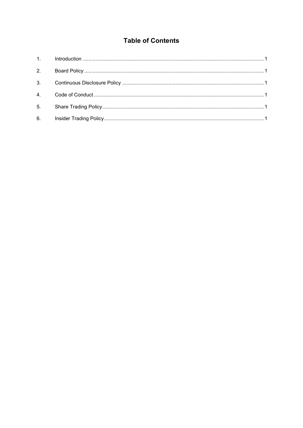# **Table of Contents**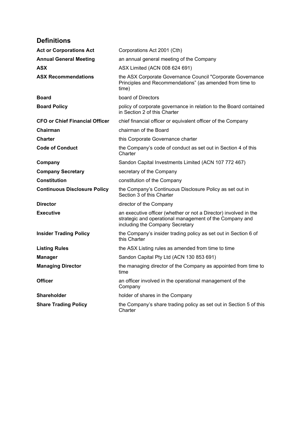# **Definitions**

| <b>Act or Corporations Act</b>        | Corporations Act 2001 (Cth)                                                                                                                                    |
|---------------------------------------|----------------------------------------------------------------------------------------------------------------------------------------------------------------|
| <b>Annual General Meeting</b>         | an annual general meeting of the Company                                                                                                                       |
| <b>ASX</b>                            | ASX Limited (ACN 008 624 691)                                                                                                                                  |
| <b>ASX Recommendations</b>            | the ASX Corporate Governance Council "Corporate Governance<br>Principles and Recommendations" (as amended from time to<br>time)                                |
| <b>Board</b>                          | board of Directors                                                                                                                                             |
| <b>Board Policy</b>                   | policy of corporate governance in relation to the Board contained<br>in Section 2 of this Charter                                                              |
| <b>CFO or Chief Financial Officer</b> | chief financial officer or equivalent officer of the Company                                                                                                   |
| Chairman                              | chairman of the Board                                                                                                                                          |
| <b>Charter</b>                        | this Corporate Governance charter                                                                                                                              |
| <b>Code of Conduct</b>                | the Company's code of conduct as set out in Section 4 of this<br>Charter                                                                                       |
| Company                               | Sandon Capital Investments Limited (ACN 107 772 467)                                                                                                           |
| <b>Company Secretary</b>              | secretary of the Company                                                                                                                                       |
| <b>Constitution</b>                   | constitution of the Company                                                                                                                                    |
| <b>Continuous Disclosure Policy</b>   | the Company's Continuous Disclosure Policy as set out in<br>Section 3 of this Charter                                                                          |
| <b>Director</b>                       | director of the Company                                                                                                                                        |
| <b>Executive</b>                      | an executive officer (whether or not a Director) involved in the<br>strategic and operational management of the Company and<br>including the Company Secretary |
| <b>Insider Trading Policy</b>         | the Company's insider trading policy as set out in Section 6 of<br>this Charter                                                                                |
| <b>Listing Rules</b>                  | the ASX Listing rules as amended from time to time                                                                                                             |
| <b>Manager</b>                        | Sandon Capital Pty Ltd (ACN 130 853 691)                                                                                                                       |
| <b>Managing Director</b>              | the managing director of the Company as appointed from time to<br>time                                                                                         |
| <b>Officer</b>                        | an officer involved in the operational management of the<br>Company                                                                                            |
| <b>Shareholder</b>                    | holder of shares in the Company                                                                                                                                |
| <b>Share Trading Policy</b>           | the Company's share trading policy as set out in Section 5 of this<br>Charter                                                                                  |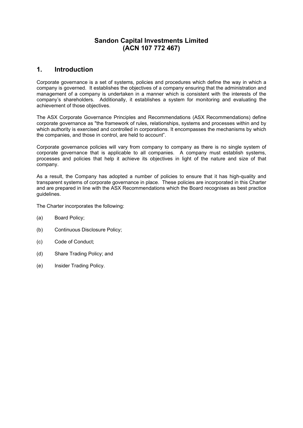# **Sandon Capital Investments Limited (ACN 107 772 467)**

# <span id="page-3-0"></span>**1. Introduction**

Corporate governance is a set of systems, policies and procedures which define the way in which a company is governed. It establishes the objectives of a company ensuring that the administration and management of a company is undertaken in a manner which is consistent with the interests of the company's shareholders. Additionally, it establishes a system for monitoring and evaluating the achievement of those objectives.

The ASX Corporate Governance Principles and Recommendations (ASX Recommendations) define corporate governance as "the framework of rules, relationships, systems and processes within and by which authority is exercised and controlled in corporations. It encompasses the mechanisms by which the companies, and those in control, are held to account".

Corporate governance policies will vary from company to company as there is no single system of corporate governance that is applicable to all companies. A company must establish systems, processes and policies that help it achieve its objectives in light of the nature and size of that company.

As a result, the Company has adopted a number of policies to ensure that it has high-quality and transparent systems of corporate governance in place. These policies are incorporated in this Charter and are prepared in line with the ASX Recommendations which the Board recognises as best practice guidelines.

The Charter incorporates the following:

- (a) Board Policy;
- (b) Continuous Disclosure Policy;
- (c) Code of Conduct;
- (d) Share Trading Policy; and
- (e) Insider Trading Policy.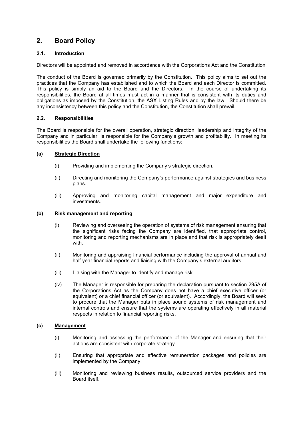# <span id="page-4-0"></span>**2. Board Policy**

# **2.1. Introduction**

Directors will be appointed and removed in accordance with the Corporations Act and the Constitution

The conduct of the Board is governed primarily by the Constitution. This policy aims to set out the practices that the Company has established and to which the Board and each Director is committed. This policy is simply an aid to the Board and the Directors. In the course of undertaking its responsibilities, the Board at all times must act in a manner that is consistent with its duties and obligations as imposed by the Constitution, the ASX Listing Rules and by the law. Should there be any inconsistency between this policy and the Constitution, the Constitution shall prevail.

# **2.2. Responsibilities**

The Board is responsible for the overall operation, strategic direction, leadership and integrity of the Company and in particular, is responsible for the Company's growth and profitability. In meeting its responsibilities the Board shall undertake the following functions:

# **(a) Strategic Direction**

- (i) Providing and implementing the Company's strategic direction.
- (ii) Directing and monitoring the Company's performance against strategies and business plans.
- (iii) Approving and monitoring capital management and major expenditure and investments.

## **(b) Risk management and reporting**

- (i) Reviewing and overseeing the operation of systems of risk management ensuring that the significant risks facing the Company are identified, that appropriate control, monitoring and reporting mechanisms are in place and that risk is appropriately dealt with
- (ii) Monitoring and appraising financial performance including the approval of annual and half year financial reports and liaising with the Company's external auditors.
- (iii) Liaising with the Manager to identify and manage risk.
- (iv) The Manager is responsible for preparing the declaration pursuant to section 295A of the Corporations Act as the Company does not have a chief executive officer (or equivalent) or a chief financial officer (or equivalent). Accordingly, the Board will seek to procure that the Manager puts in place sound systems of risk management and internal controls and ensure that the systems are operating effectively in all material respects in relation to financial reporting risks.

# **(c) Management**

- (i) Monitoring and assessing the performance of the Manager and ensuring that their actions are consistent with corporate strategy.
- (ii) Ensuring that appropriate and effective remuneration packages and policies are implemented by the Company.
- (iii) Monitoring and reviewing business results, outsourced service providers and the Board itself.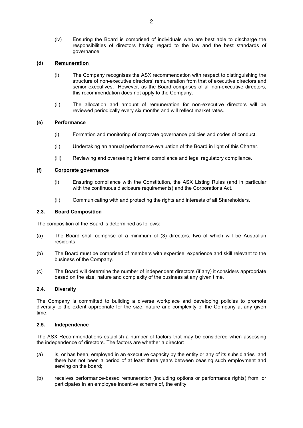(iv) Ensuring the Board is comprised of individuals who are best able to discharge the responsibilities of directors having regard to the law and the best standards of governance.

## **(d) Remuneration**

- (i) The Company recognises the ASX recommendation with respect to distinguishing the structure of non-executive directors' remuneration from that of executive directors and senior executives. However, as the Board comprises of all non-executive directors, this recommendation does not apply to the Company.
- (ii) The allocation and amount of remuneration for non-executive directors will be reviewed periodically every six months and will reflect market rates.

#### **(e) Performance**

- (i) Formation and monitoring of corporate governance policies and codes of conduct.
- (ii) Undertaking an annual performance evaluation of the Board in light of this Charter.
- (iii) Reviewing and overseeing internal compliance and legal regulatory compliance.

## **(f) Corporate governance**

- (i) Ensuring compliance with the Constitution, the ASX Listing Rules (and in particular with the continuous disclosure requirements) and the Corporations Act.
- (ii) Communicating with and protecting the rights and interests of all Shareholders.

#### **2.3. Board Composition**

The composition of the Board is determined as follows:

- (a) The Board shall comprise of a minimum of (3) directors, two of which will be Australian residents.
- (b) The Board must be comprised of members with expertise, experience and skill relevant to the business of the Company.
- (c) The Board will determine the number of independent directors (if any) it considers appropriate based on the size, nature and complexity of the business at any given time.

### **2.4. Diversity**

The Company is committed to building a diverse workplace and developing policies to promote diversity to the extent appropriate for the size, nature and complexity of the Company at any given time.

## **2.5. Independence**

The ASX Recommendations establish a number of factors that may be considered when assessing the independence of directors. The factors are whether a director:

- (a) is, or has been, employed in an executive capacity by the entity or any of its subsidiaries and there has not been a period of at least three years between ceasing such employment and serving on the board;
- (b) receives performance-based remuneration (including options or performance rights) from, or participates in an employee incentive scheme of, the entity;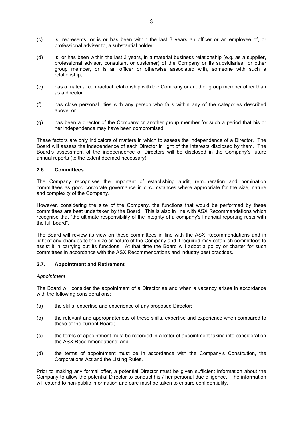- (c) is, represents, or is or has been within the last 3 years an officer or an employee of, or professional adviser to, a substantial holder;
- (d) is, or has been within the last 3 years, in a material business relationship (e.g. as a supplier, professional advisor, consultant or customer) of the Company or its subsidiaries or other group member, or is an officer or otherwise associated with, someone with such a relationship;
- (e) has a material contractual relationship with the Company or another group member other than as a director.
- (f) has close personal ties with any person who falls within any of the categories described above; or
- (g) has been a director of the Company or another group member for such a period that his or her independence may have been compromised.

These factors are only indicators of matters in which to assess the independence of a Director. The Board will assess the independence of each Director in light of the interests disclosed by them. The Board's assessment of the independence of Directors will be disclosed in the Company's future annual reports (to the extent deemed necessary).

## **2.6. Committees**

The Company recognises the important of establishing audit, remuneration and nomination committees as good corporate governance in circumstances where appropriate for the size, nature and complexity of the Company.

However, considering the size of the Company, the functions that would be performed by these committees are best undertaken by the Board. This is also in line with ASX Recommendations which recognise that "the ultimate responsibility of the integrity of a company's financial reporting rests with the full board".

The Board will review its view on these committees in line with the ASX Recommendations and in light of any changes to the size or nature of the Company and if required may establish committees to assist it in carrying out its functions. At that time the Board will adopt a policy or charter for such committees in accordance with the ASX Recommendations and industry best practices.

## **2.7. Appointment and Retirement**

#### *Appointment*

The Board will consider the appointment of a Director as and when a vacancy arises in accordance with the following considerations:

- (a) the skills, expertise and experience of any proposed Director;
- (b) the relevant and appropriateness of these skills, expertise and experience when compared to those of the current Board;
- (c) the terms of appointment must be recorded in a letter of appointment taking into consideration the ASX Recommendations; and
- (d) the terms of appointment must be in accordance with the Company's Constitution, the Corporations Act and the Listing Rules.

Prior to making any formal offer, a potential Director must be given sufficient information about the Company to allow the potential Director to conduct his / her personal due diligence. The information will extend to non-public information and care must be taken to ensure confidentiality.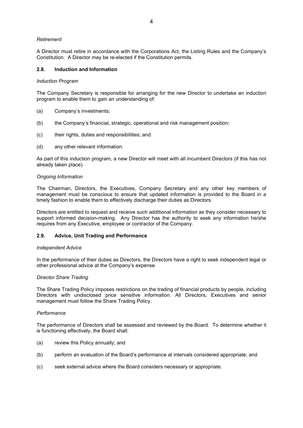## *Retirement*

A Director must retire in accordance with the Corporations Act, the Listing Rules and the Company's Constitution. A Director may be re-elected if the Constitution permits.

### **2.8. Induction and Information**

#### *Induction Program*

The Company Secretary is responsible for arranging for the new Director to undertake an induction program to enable them to gain an understanding of:

- (a) Company's investments;
- (b) the Company's financial, strategic, operational and risk management position;
- (c) their rights, duties and responsibilities; and
- (d) any other relevant information.

As part of this induction program, a new Director will meet with all incumbent Directors (if this has not already taken place).

#### *Ongoing Information*

The Chairman, Directors, the Executives, Company Secretary and any other key members of management must be conscious to ensure that updated information is provided to the Board in a timely fashion to enable them to effectively discharge their duties as Directors.

Directors are entitled to request and receive such additional information as they consider necessary to support informed decision-making. Any Director has the authority to seek any information he/she requires from any Executive, employee or contractor of the Company.

#### **2.9. Advice, Unit Trading and Performance**

#### *Independent Advice*

In the performance of their duties as Directors, the Directors have a right to seek independent legal or other professional advice at the Company's expense.

### *Director Share Trading*

The Share Trading Policy imposes restrictions on the trading of financial products by people, including Directors with undisclosed price sensitive information. All Directors, Executives and senior management must follow the Share Trading Policy.

#### *Performance*

The performance of Directors shall be assessed and reviewed by the Board. To determine whether it is functioning effectively, the Board shall:

- (a) review this Policy annually; and
- (b) perform an evaluation of the Board's performance at intervals considered appropriate; and
- (c) seek external advice where the Board considers necessary or appropriate.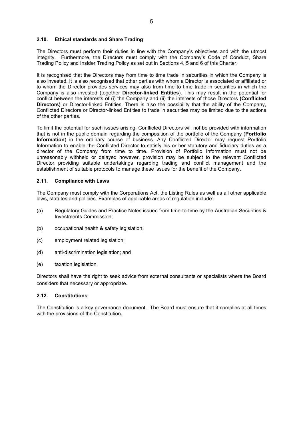## **2.10. Ethical standards and Share Trading**

The Directors must perform their duties in line with the Company's objectives and with the utmost integrity. Furthermore, the Directors must comply with the Company's Code of Conduct, Share Trading Policy and Insider Trading Policy as set out in Sections 4, 5 and 6 of this Charter.

It is recognised that the Directors may from time to time trade in securities in which the Company is also invested. It is also recognised that other parties with whom a Director is associated or affiliated or to whom the Director provides services may also from time to time trade in securities in which the Company is also invested (together **Director-linked Entities**). This may result in the potential for conflict between the interests of (i) the Company and (ii) the interests of those Directors **(Conflicted Directors)** or Director-linked Entities. There is also the possibility that the ability of the Company, Conflicted Directors or Director-linked Entities to trade in securities may be limited due to the actions of the other parties.

To limit the potential for such issues arising, Conflicted Directors will not be provided with information that is not in the public domain regarding the composition of the portfolio of the Company (**Portfolio Information**) in the ordinary course of business. Any Conflicted Director may request Portfolio Information to enable the Conflicted Director to satisfy his or her statutory and fiduciary duties as a director of the Company from time to time. Provision of Portfolio Information must not be unreasonably withheld or delayed however, provision may be subject to the relevant Conflicted Director providing suitable undertakings regarding trading and conflict management and the establishment of suitable protocols to manage these issues for the benefit of the Company.

#### **2.11. Compliance with Laws**

The Company must comply with the Corporations Act, the Listing Rules as well as all other applicable laws, statutes and policies. Examples of applicable areas of regulation include:

- (a) Regulatory Guides and Practice Notes issued from time-to-time by the Australian Securities & Investments Commission;
- (b) occupational health & safety legislation;
- (c) employment related legislation;
- (d) anti-discrimination legislation; and
- (e) taxation legislation.

Directors shall have the right to seek advice from external consultants or specialists where the Board considers that necessary or appropriate.

#### **2.12. Constitutions**

The Constitution is a key governance document. The Board must ensure that it complies at all times with the provisions of the Constitution.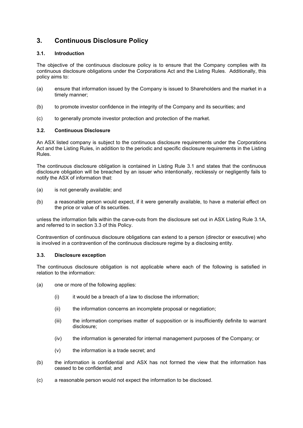# <span id="page-9-0"></span>**3. Continuous Disclosure Policy**

# **3.1. Introduction**

The objective of the continuous disclosure policy is to ensure that the Company complies with its continuous disclosure obligations under the Corporations Act and the Listing Rules. Additionally, this policy aims to:

- (a) ensure that information issued by the Company is issued to Shareholders and the market in a timely manner;
- (b) to promote investor confidence in the integrity of the Company and its securities; and
- (c) to generally promote investor protection and protection of the market.

# **3.2. Continuous Disclosure**

An ASX listed company is subject to the continuous disclosure requirements under the Corporations Act and the Listing Rules, in addition to the periodic and specific disclosure requirements in the Listing Rules.

The continuous disclosure obligation is contained in Listing Rule 3.1 and states that the continuous disclosure obligation will be breached by an issuer who intentionally, recklessly or negligently fails to notify the ASX of information that:

- (a) is not generally available; and
- (b) a reasonable person would expect, if it were generally available, to have a material effect on the price or value of its securities.

unless the information falls within the carve-outs from the disclosure set out in ASX Listing Rule 3.1A, and referred to in section 3.3 of this Policy.

Contravention of continuous disclosure obligations can extend to a person (director or executive) who is involved in a contravention of the continuous disclosure regime by a disclosing entity.

# **3.3. Disclosure exception**

The continuous disclosure obligation is not applicable where each of the following is satisfied in relation to the information:

- (a) one or more of the following applies:
	- $(i)$  it would be a breach of a law to disclose the information;
	- (ii) the information concerns an incomplete proposal or negotiation;
	- (iii) the information comprises matter of supposition or is insufficiently definite to warrant disclosure;
	- (iv) the information is generated for internal management purposes of the Company; or
	- (v) the information is a trade secret; and
- (b) the information is confidential and ASX has not formed the view that the information has ceased to be confidential; and
- (c) a reasonable person would not expect the information to be disclosed.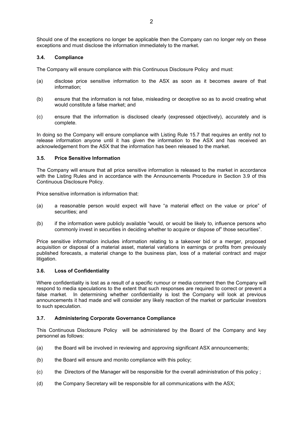Should one of the exceptions no longer be applicable then the Company can no longer rely on these exceptions and must disclose the information immediately to the market.

# **3.4. Compliance**

The Company will ensure compliance with this Continuous Disclosure Policy and must:

- (a) disclose price sensitive information to the ASX as soon as it becomes aware of that information;
- (b) ensure that the information is not false, misleading or deceptive so as to avoid creating what would constitute a false market; and
- (c) ensure that the information is disclosed clearly (expressed objectively), accurately and is complete.

In doing so the Company will ensure compliance with Listing Rule 15.7 that requires an entity not to release information anyone until it has given the information to the ASX and has received an acknowledgement from the ASX that the information has been released to the market.

#### **3.5. Price Sensitive Information**

The Company will ensure that all price sensitive information is released to the market in accordance with the Listing Rules and in accordance with the Announcements Procedure in Section 3.9 of this Continuous Disclosure Policy.

Price sensitive information is information that:

- (a) a reasonable person would expect will have "a material effect on the value or price" of securities; and
- (b) if the information were publicly available "would, or would be likely to, influence persons who commonly invest in securities in deciding whether to acquire or dispose of" those securities".

Price sensitive information includes information relating to a takeover bid or a merger, proposed acquisition or disposal of a material asset, material variations in earnings or profits from previously published forecasts, a material change to the business plan, loss of a material contract and major litigation.

# **3.6. Loss of Confidentiality**

Where confidentiality is lost as a result of a specific rumour or media comment then the Company will respond to media speculations to the extent that such responses are required to correct or prevent a false market. In determining whether confidentiality is lost the Company will look at previous announcements it had made and will consider any likely reaction of the market or particular investors to such speculation.

# **3.7. Administering Corporate Governance Compliance**

This Continuous Disclosure Policy will be administered by the Board of the Company and key personnel as follows:

- (a) the Board will be involved in reviewing and approving significant ASX announcements;
- (b) the Board will ensure and monito compliance with this policy;
- (c) the Directors of the Manager will be responsible for the overall administration of this policy ;
- (d) the Company Secretary will be responsible for all communications with the ASX;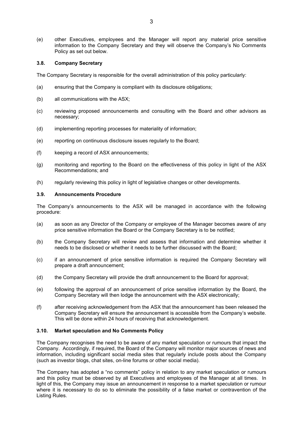(e) other Executives, employees and the Manager will report any material price sensitive information to the Company Secretary and they will observe the Company's No Comments Policy as set out below.

### **3.8. Company Secretary**

The Company Secretary is responsible for the overall administration of this policy particularly:

- (a) ensuring that the Company is compliant with its disclosure obligations;
- (b) all communications with the ASX;
- (c) reviewing proposed announcements and consulting with the Board and other advisors as necessary;
- (d) implementing reporting processes for materiality of information;
- (e) reporting on continuous disclosure issues regularly to the Board;
- (f) keeping a record of ASX announcements;
- (g) monitoring and reporting to the Board on the effectiveness of this policy in light of the ASX Recommendations; and
- (h) regularly reviewing this policy in light of legislative changes or other developments.

#### **3.9. Announcements Procedure**

The Company's announcements to the ASX will be managed in accordance with the following procedure:

- (a) as soon as any Director of the Company or employee of the Manager becomes aware of any price sensitive information the Board or the Company Secretary is to be notified;
- (b) the Company Secretary will review and assess that information and determine whether it needs to be disclosed or whether it needs to be further discussed with the Board;
- (c) if an announcement of price sensitive information is required the Company Secretary will prepare a draft announcement;
- (d) the Company Secretary will provide the draft announcement to the Board for approval;
- (e) following the approval of an announcement of price sensitive information by the Board, the Company Secretary will then lodge the announcement with the ASX electronically;
- (f) after receiving acknowledgement from the ASX that the announcement has been released the Company Secretary will ensure the announcement is accessible from the Company's website. This will be done within 24 hours of receiving that acknowledgement.

#### **3.10. Market speculation and No Comments Policy**

The Company recognises the need to be aware of any market speculation or rumours that impact the Company. Accordingly, if required, the Board of the Company will monitor major sources of news and information, including significant social media sites that regularly include posts about the Company (such as investor blogs, chat sites, on-line forums or other social media).

The Company has adopted a "no comments" policy in relation to any market speculation or rumours and this policy must be observed by all Executives and employees of the Manager at all times. In light of this, the Company may issue an announcement in response to a market speculation or rumour where it is necessary to do so to eliminate the possibility of a false market or contravention of the Listing Rules.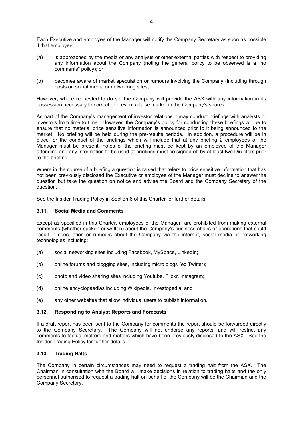Each Executive and employee of the Manager will notify the Company Secretary as soon as possible if that employee:

- (a) is approached by the media or any analysts or other external parties with respect to providing any information about the Company (noting the general policy to be observed is a "no comments" policy); or
- (b) becomes aware of market speculation or rumours involving the Company (including through posts on social media or networking sites,

However, where requested to do so, the Company will provide the ASX with any information in its possession necessary to correct or prevent a false market in the Company's shares.

As part of the Company's management of investor relations it may conduct briefings with analysts or investors from time to time. However, the Company's policy for conducting these briefings will be to ensure that no material price sensitive information is announced prior to it being announced to the market. No briefing will be held during the pre-results periods. In addition, a procedure will be in place for the conduct of the briefings which will include that at any briefing 2 employees of the Manager must be present, notes of the briefing must be kept by an employee of the Manager attending and any information to be used at briefings must be signed off by at least two Directors prior to the briefing.

Where in the course of a briefing a question is raised that refers to price sensitive information that has not been previously disclosed the Executive or employee of the Manager must decline to answer the question but take the question on notice and advise the Board and the Company Secretary of the question.

See the Insider Trading Policy in Section 6 of this Charter for further details.

## **3.11. Social Media and Comments**

Except as specified in this Charter, employees of the Manager are prohibited from making external comments (whether spoken or written) about the Company's business affairs or operations that could result in speculation or rumours about the Company via the internet, social media or networking technologies including:

- (a) social networking sites including Facebook, MySpace, LinkedIn;
- (b) online forums and blogging sites, including micro blogs (eg Twitter);
- (c) photo and video sharing sites including Youtube, Flickr, Instagram;
- (d) online encyclopaedias including Wikipedia, Investopedia; and
- (e) any other websites that allow individual users to publish information.

#### **3.12. Responding to Analyst Reports and Forecasts**

If a draft report has been sent to the Company for comments the report should be forwarded directly to the Company Secretary. The Company will not endorse any reports, and will restrict any comments to factual matters and matters which have been previously disclosed to the ASX. See the Insider Trading Policy for further details.

### **3.13. Trading Halts**

The Company in certain circumstances may need to request a trading halt from the ASX. The Chairman in consultation with the Board will make decisions in relation to trading halts and the only personnel authorised to request a trading halt on behalf of the Company will be the Chairman and the Company Secretary.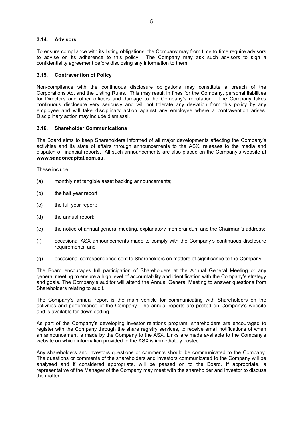### **3.14. Advisors**

To ensure compliance with its listing obligations, the Company may from time to time require advisors to advise on its adherence to this policy. The Company may ask such advisors to sign a confidentiality agreement before disclosing any information to them.

## **3.15. Contravention of Policy**

Non-compliance with the continuous disclosure obligations may constitute a breach of the Corporations Act and the Listing Rules. This may result in fines for the Company, personal liabilities for Directors and other officers and damage to the Company's reputation. The Company takes continuous disclosure very seriously and will not tolerate any deviation from this policy by any employee and will take disciplinary action against any employee where a contravention arises. Disciplinary action may include dismissal.

#### **3.16. Shareholder Communications**

The Board aims to keep Shareholders informed of all major developments affecting the Company's activities and its state of affairs through announcements to the ASX, releases to the media and dispatch of financial reports. All such announcements are also placed on the Company's website at **www.sandoncapital.com.au**.

These include:

- (a) monthly net tangible asset backing announcements;
- (b) the half year report;
- (c) the full year report;
- (d) the annual report;
- (e) the notice of annual general meeting, explanatory memorandum and the Chairman's address;
- (f) occasional ASX announcements made to comply with the Company's continuous disclosure requirements; and
- (g) occasional correspondence sent to Shareholders on matters of significance to the Company.

The Board encourages full participation of Shareholders at the Annual General Meeting or any general meeting to ensure a high level of accountability and identification with the Company's strategy and goals. The Company's auditor will attend the Annual General Meeting to answer questions from Shareholders relating to audit.

The Company's annual report is the main vehicle for communicating with Shareholders on the activities and performance of the Company. The annual reports are posted on Company's website and is available for downloading.

As part of the Company's developing investor relations program, shareholders are encouraged to register with the Company through the share registry services, to receive email notifications of when an announcement is made by the Company to the ASX. Links are made available to the Company's website on which information provided to the ASX is immediately posted.

Any shareholders and investors questions or comments should be communicated to the Company. The questions or comments of the shareholders and investors communicated to the Company will be analysed and if considered appropriate, will be passed on to the Board. If appropriate, a representative of the Manager of the Company may meet with the shareholder and investor to discuss the matter.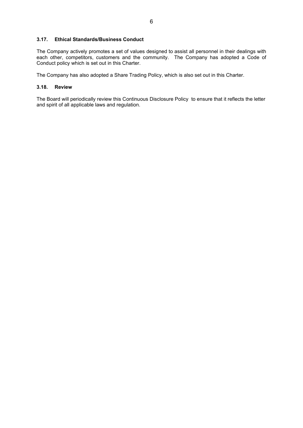## **3.17. Ethical Standards/Business Conduct**

The Company actively promotes a set of values designed to assist all personnel in their dealings with each other, competitors, customers and the community. The Company has adopted a Code of Conduct policy which is set out in this Charter.

The Company has also adopted a Share Trading Policy, which is also set out in this Charter.

### **3.18. Review**

The Board will periodically review this Continuous Disclosure Policy to ensure that it reflects the letter and spirit of all applicable laws and regulation.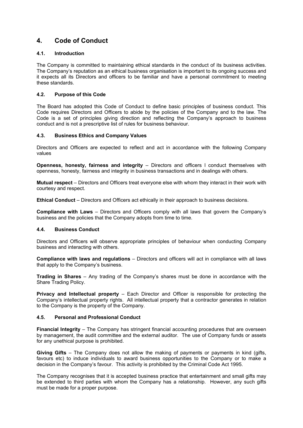# <span id="page-15-0"></span>**4. Code of Conduct**

# **4.1. Introduction**

The Company is committed to maintaining ethical standards in the conduct of its business activities. The Company's reputation as an ethical business organisation is important to its ongoing success and it expects all its Directors and officers to be familiar and have a personal commitment to meeting these standards.

# **4.2. Purpose of this Code**

The Board has adopted this Code of Conduct to define basic principles of business conduct. This Code requires Directors and Officers to abide by the policies of the Company and to the law. The Code is a set of principles giving direction and reflecting the Company's approach to business conduct and is not a prescriptive list of rules for business behaviour.

## **4.3. Business Ethics and Company Values**

Directors and Officers are expected to reflect and act in accordance with the following Company values

**Openness, honesty, fairness and integrity** – Directors and officers l conduct themselves with openness, honesty, fairness and integrity in business transactions and in dealings with others.

**Mutual respect** – Directors and Officers treat everyone else with whom they interact in their work with courtesy and respect.

**Ethical Conduct** – Directors and Officers act ethically in their approach to business decisions.

**Compliance with Laws** – Directors and Officers comply with all laws that govern the Company's business and the policies that the Company adopts from time to time.

#### **4.4. Business Conduct**

Directors and Officers will observe appropriate principles of behaviour when conducting Company business and interacting with others.

**Compliance with laws and regulations** – Directors and officers will act in compliance with all laws that apply to the Company's business.

**Trading in Shares** – Any trading of the Company's shares must be done in accordance with the Share Trading Policy.

**Privacy and Intellectual property** – Each Director and Officer is responsible for protecting the Company's intellectual property rights. All intellectual property that a contractor generates in relation to the Company is the property of the Company.

# **4.5. Personal and Professional Conduct**

**Financial Integrity** – The Company has stringent financial accounting procedures that are overseen by management, the audit committee and the external auditor. The use of Company funds or assets for any unethical purpose is prohibited.

**Giving Gifts** – The Company does not allow the making of payments or payments in kind (gifts, favours etc) to induce individuals to award business opportunities to the Company or to make a decision in the Company's favour. This activity is prohibited by the Criminal Code Act 1995.

The Company recognises that it is accepted business practice that entertainment and small gifts may be extended to third parties with whom the Company has a relationship. However, any such gifts must be made for a proper purpose.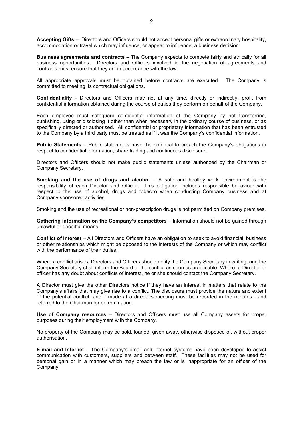**Accepting Gifts** – Directors and Officers should not accept personal gifts or extraordinary hospitality, accommodation or travel which may influence, or appear to influence, a business decision.

**Business agreements and contracts** – The Company expects to compete fairly and ethically for all business opportunities. Directors and Officers involved in the negotiation of agreements and contracts must ensure that they act in accordance with the law.

All appropriate approvals must be obtained before contracts are executed. The Company is committed to meeting its contractual obligations.

**Confidentiality** - Directors and Officers may not at any time, directly or indirectly, profit from confidential information obtained during the course of duties they perform on behalf of the Company.

Each employee must safeguard confidential information of the Company by not transferring, publishing, using or disclosing it other than when necessary in the ordinary course of business, or as specifically directed or authorised. All confidential or proprietary information that has been entrusted to the Company by a third party must be treated as if it was the Company's confidential information.

**Public Statements** – Public statements have the potential to breach the Company's obligations in respect to confidential information, share trading and continuous disclosure.

Directors and Officers should not make public statements unless authorized by the Chairman or Company Secretary.

**Smoking and the use of drugs and alcohol** – A safe and healthy work environment is the responsibility of each Director and Officer. This obligation includes responsible behaviour with respect to the use of alcohol, drugs and tobacco when conducting Company business and at Company sponsored activities.

Smoking and the use of recreational or non-prescription drugs is not permitted on Company premises.

**Gathering information on the Company's competitors** – Information should not be gained through unlawful or deceitful means.

**Conflict of Interest** – All Directors and Officers have an obligation to seek to avoid financial, business or other relationships which might be opposed to the interests of the Company or which may conflict with the performance of their duties.

Where a conflict arises, Directors and Officers should notify the Company Secretary in writing, and the Company Secretary shall inform the Board of the conflict as soon as practicable. Where a Director or officer has any doubt about conflicts of interest, he or she should contact the Company Secretary.

A Director must give the other Directors notice if they have an interest in matters that relate to the Company's affairs that may give rise to a conflict. The disclosure must provide the nature and extent of the potential conflict, and if made at a directors meeting must be recorded in the minutes , and referred to the Chairman for determination.

**Use of Company resources** – Directors and Officers must use all Company assets for proper purposes during their employment with the Company.

No property of the Company may be sold, loaned, given away, otherwise disposed of, without proper authorisation.

**E-mail and Internet** – The Company's email and internet systems have been developed to assist communication with customers, suppliers and between staff. These facilities may not be used for personal gain or in a manner which may breach the law or is inappropriate for an officer of the Company.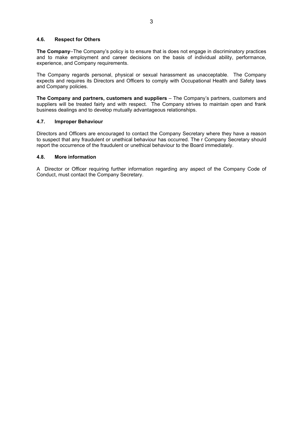# **4.6. Respect for Others**

**The Company**–The Company's policy is to ensure that is does not engage in discriminatory practices and to make employment and career decisions on the basis of individual ability, performance, experience, and Company requirements.

The Company regards personal, physical or sexual harassment as unacceptable. The Company expects and requires its Directors and Officers to comply with Occupational Health and Safety laws and Company policies.

**The Company and partners, customers and suppliers** – The Company's partners, customers and suppliers will be treated fairly and with respect. The Company strives to maintain open and frank business dealings and to develop mutually advantageous relationships.

## **4.7. Improper Behaviour**

Directors and Officers are encouraged to contact the Company Secretary where they have a reason to suspect that any fraudulent or unethical behaviour has occurred. The r Company Secretary should report the occurrence of the fraudulent or unethical behaviour to the Board immediately.

#### **4.8. More information**

A Director or Officer requiring further information regarding any aspect of the Company Code of Conduct, must contact the Company Secretary.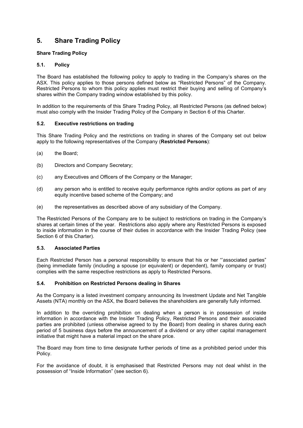# <span id="page-18-0"></span>**5. Share Trading Policy**

# **Share Trading Policy**

# **5.1. Policy**

The Board has established the following policy to apply to trading in the Company's shares on the ASX. This policy applies to those persons defined below as "Restricted Persons" of the Company. Restricted Persons to whom this policy applies must restrict their buying and selling of Company's shares within the Company trading window established by this policy.

In addition to the requirements of this Share Trading Policy, all Restricted Persons (as defined below) must also comply with the Insider Trading Policy of the Company in Section 6 of this Charter.

## **5.2. Executive restrictions on trading**

This Share Trading Policy and the restrictions on trading in shares of the Company set out below apply to the following representatives of the Company (**Restricted Persons**):

- (a) the Board;
- (b) Directors and Company Secretary;
- (c) any Executives and Officers of the Company or the Manager;
- (d) any person who is entitled to receive equity performance rights and/or options as part of any equity incentive based scheme of the Company; and
- (e) the representatives as described above of any subsidiary of the Company.

The Restricted Persons of the Company are to be subject to restrictions on trading in the Company's shares at certain times of the year. Restrictions also apply where any Restricted Persons is exposed to inside information in the course of their duties in accordance with the Insider Trading Policy (see Section 6 of this Charter).

# **5.3. Associated Parties**

Each Restricted Person has a personal responsibility to ensure that his or her "'associated parties" (being immediate family (including a spouse (or equivalent) or dependent), family company or trust) complies with the same respective restrictions as apply to Restricted Persons.

#### **5.4. Prohibition on Restricted Persons dealing in Shares**

As the Company is a listed investment company announcing its Investment Update and Net Tangible Assets (NTA) monthly on the ASX, the Board believes the shareholders are generally fully informed.

In addition to the overriding prohibition on dealing when a person is in possession of inside information in accordance with the Insider Trading Policy, Restricted Persons and their associated parties are prohibited (unless otherwise agreed to by the Board) from dealing in shares during each period of 5 business days before the announcement of a dividend or any other capital management initiative that might have a material impact on the share price.

The Board may from time to time designate further periods of time as a prohibited period under this Policy.

For the avoidance of doubt, it is emphasised that Restricted Persons may not deal whilst in the possession of "Inside Information" (see section 6).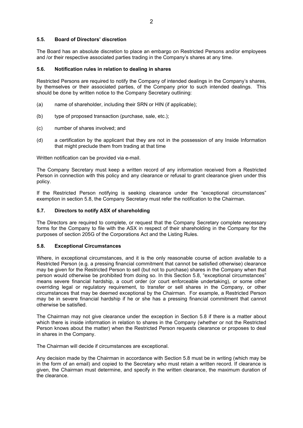# **5.5. Board of Directors' discretion**

The Board has an absolute discretion to place an embargo on Restricted Persons and/or employees and /or their respective associated parties trading in the Company's shares at any time.

## **5.6. Notification rules in relation to dealing in shares**

Restricted Persons are required to notify the Company of intended dealings in the Company's shares, by themselves or their associated parties, of the Company prior to such intended dealings. This should be done by written notice to the Company Secretary outlining:

- (a) name of shareholder, including their SRN or HIN (if applicable);
- (b) type of proposed transaction (purchase, sale, etc.);
- (c) number of shares involved; and
- (d) a certification by the applicant that they are not in the possession of any Inside Information that might preclude them from trading at that time

Written notification can be provided via e-mail.

The Company Secretary must keep a written record of any information received from a Restricted Person in connection with this policy and any clearance or refusal to grant clearance given under this policy.

If the Restricted Person notifying is seeking clearance under the "exceptional circumstances" exemption in section 5.8, the Company Secretary must refer the notification to the Chairman.

## **5.7. Directors to notify ASX of shareholding**

The Directors are required to complete, or request that the Company Secretary complete necessary forms for the Company to file with the ASX in respect of their shareholding in the Company for the purposes of section 205G of the Corporations Act and the Listing Rules.

#### **5.8. Exceptional Circumstances**

Where, in exceptional circumstances, and it is the only reasonable course of action available to a Restricted Person (e.g. a pressing financial commitment that cannot be satisfied otherwise) clearance may be given for the Restricted Person to sell (but not to purchase) shares in the Company when that person would otherwise be prohibited from doing so. In this Section 5.8, "exceptional circumstances" means severe financial hardship, a court order (or court enforceable undertaking), or some other overriding legal or regulatory requirement, to transfer or sell shares in the Company, or other circumstances that may be deemed exceptional by the Chairman. For example, a Restricted Person may be in severe financial hardship if he or she has a pressing financial commitment that cannot otherwise be satisfied.

The Chairman may not give clearance under the exception in Section 5.8 if there is a matter about which there is inside information in relation to shares in the Company (whether or not the Restricted Person knows about the matter) when the Restricted Person requests clearance or proposes to deal in shares in the Company.

The Chairman will decide if circumstances are exceptional.

Any decision made by the Chairman in accordance with Section 5.8 must be in writing (which may be in the form of an email) and copied to the Secretary who must retain a written record. If clearance is given, the Chairman must determine, and specify in the written clearance, the maximum duration of the clearance.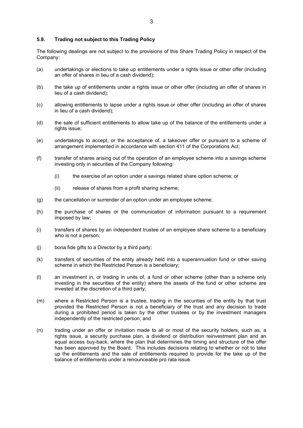### **5.9. Trading not subject to this Trading Policy**

The following dealings are not subject to the provisions of this Share Trading Policy in respect of the Company:

- (a) undertakings or elections to take up entitlements under a rights issue or other offer (including an offer of shares in lieu of a cash dividend);
- (b) the take up of entitlements under a rights issue or other offer (including an offer of shares in lieu of a cash dividend);
- (c) allowing entitlements to lapse under a rights issue or other offer (including an offer of shares in lieu of a cash dividend);
- (d) the sale of sufficient entitlements to allow take up of the balance of the entitlements under a rights issue;
- (e) undertakings to accept, or the acceptance of, a takeover offer or pursuant to a scheme of arrangement implemented in accordance with section 411 of the Corporations Act;
- (f) transfer of shares arising out of the operation of an employee scheme into a savings scheme investing only in securities of the Company following:
	- (i) the exercise of an option under a savings related share option scheme; or
	- (ii) release of shares from a profit sharing scheme;
- (g) the cancellation or surrender of an option under an employee scheme;
- (h) the purchase of shares or the communication of information pursuant to a requirement imposed by law;
- (i) transfers of shares by an independent trustee of an employee share scheme to a beneficiary who is not a person;
- (j) bona fide gifts to a Director by a third party;
- (k) transfers of securities of the entity already held into a superannuation fund or other saving scheme in which the Restricted Person is a beneficiary;
- (l) an investment in, or trading in units of, a fund or other scheme (other than a scheme only investing in the securities of the entity) where the assets of the fund or other scheme are invested at the discretion of a third party;
- (m) where a Restricted Person is a trustee, trading in the securities of the entity by that trust provided the Restricted Person is not a beneficiary of the trust and any decision to trade during a prohibited period is taken by the other trustees or by the investment managers independently of the restricted person; and
- (n) trading under an offer or invitation made to all or most of the security holders, such as, a rights issue, a security purchase plan, a dividend or distribution reinvestment plan and an equal access buy-back, where the plan that determines the timing and structure of the offer has been approved by the Board. This includes decisions relating to whether or not to take up the entitlements and the sale of entitlements required to provide for the take up of the balance of entitlements under a renounceable pro rata issue.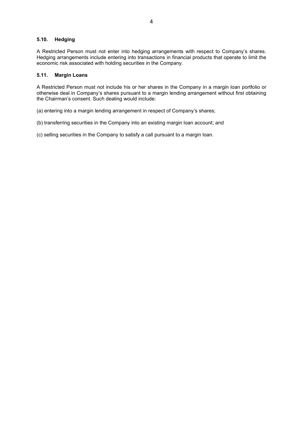# **5.10. Hedging**

A Restricted Person must not enter into hedging arrangements with respect to Company's shares. Hedging arrangements include entering into transactions in financial products that operate to limit the economic risk associated with holding securities in the Company.

# **5.11. Margin Loans**

A Restricted Person must not include his or her shares in the Company in a margin loan portfolio or otherwise deal in Company's shares pursuant to a margin lending arrangement without first obtaining the Chairman's consent. Such dealing would include:

(a) entering into a margin lending arrangement in respect of Company's shares;

(b) transferring securities in the Company into an existing margin loan account; and

(c) selling securities in the Company to satisfy a call pursuant to a margin loan.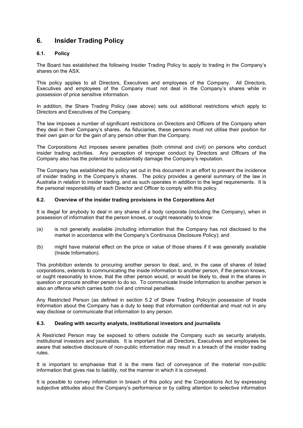# <span id="page-22-0"></span>**6. Insider Trading Policy**

# **6.1. Policy**

The Board has established the following Insider Trading Policy to apply to trading in the Company's shares on the ASX.

This policy applies to all Directors, Executives and employees of the Company. All Directors, Executives and employees of the Company must not deal in the Company's shares while in possession of price sensitive information.

In addition, the Share Trading Policy (see above) sets out additional restrictions which apply to Directors and Executives of the Company.

The law imposes a number of significant restrictions on Directors and Officers of the Company when they deal in their Company's shares. As fiduciaries, these persons must not utilise their position for their own gain or for the gain of any person other than the Company.

The Corporations Act imposes severe penalties (both criminal and civil) on persons who conduct insider trading activities. Any perception of improper conduct by Directors and Officers of the Company also has the potential to substantially damage the Company's reputation.

The Company has established the policy set out in this document in an effort to prevent the incidence of insider trading in the Company's shares. The policy provides a general summary of the law in Australia in relation to insider trading, and as such operates in addition to the legal requirements. It is the personal responsibility of each Director and Officer to comply with this policy.

## **6.2. Overview of the insider trading provisions in the Corporations Act**

It is illegal for anybody to deal in any shares of a body corporate (including the Company), when in possession of information that the person knows, or ought reasonably to know:

- (a) is not generally available (including information that the Company has not disclosed to the market in accordance with the Company's Continuous Disclosure Policy); and
- (b) might have material effect on the price or value of those shares if it was generally available (Inside Information).

This prohibition extends to procuring another person to deal, and, in the case of shares of listed corporations, extends to communicating the inside information to another person, if the person knows, or ought reasonably to know, that the other person would, or would be likely to, deal in the shares in question or procure another person to do so. To communicate Inside Information to another person is also an offence which carries both civil and criminal penalties.

Any Restricted Person (as defined in section 5.2 of Share Trading Policy)in possession of Inside Information about the Company has a duty to keep that information confidential and must not in any way disclose or communicate that information to any person.

#### **6.3. Dealing with security analysts, institutional investors and journalists**

A Restricted Person may be exposed to others outside the Company such as security analysts, institutional investors and journalists. It is important that all Directors, Executives and employees be aware that selective disclosure of non-public information may result in a breach of the insider trading rules.

It is important to emphasise that it is the mere fact of conveyance of the material non-public information that gives rise to liability, not the manner in which it is conveyed.

It is possible to convey information in breach of this policy and the Corporations Act by expressing subjective attitudes about the Company's performance or by calling attention to selective information